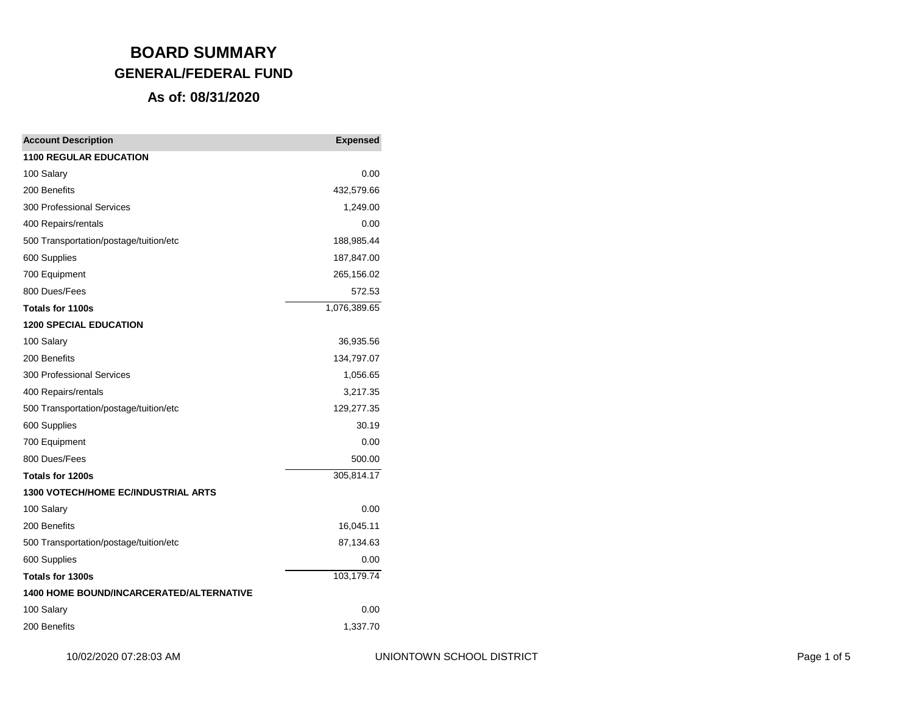# **BOARD SUMMARY GENERAL/FEDERAL FUND As of: 08/31/2020**

| <b>Account Description</b>                      | <b>Expensed</b> |
|-------------------------------------------------|-----------------|
| <b>1100 REGULAR EDUCATION</b>                   |                 |
| 100 Salary                                      | 0.00            |
| 200 Benefits                                    | 432,579.66      |
| 300 Professional Services                       | 1,249.00        |
| 400 Repairs/rentals                             | 0.00            |
| 500 Transportation/postage/tuition/etc          | 188,985.44      |
| 600 Supplies                                    | 187,847.00      |
| 700 Equipment                                   | 265,156.02      |
| 800 Dues/Fees                                   | 572.53          |
| <b>Totals for 1100s</b>                         | 1,076,389.65    |
| <b>1200 SPECIAL EDUCATION</b>                   |                 |
| 100 Salary                                      | 36,935.56       |
| 200 Benefits                                    | 134,797.07      |
| 300 Professional Services                       | 1,056.65        |
| 400 Repairs/rentals                             | 3,217.35        |
| 500 Transportation/postage/tuition/etc          | 129,277.35      |
| 600 Supplies                                    | 30.19           |
| 700 Equipment                                   | 0.00            |
| 800 Dues/Fees                                   | 500.00          |
| Totals for 1200s                                | 305,814.17      |
| <b>1300 VOTECH/HOME EC/INDUSTRIAL ARTS</b>      |                 |
| 100 Salary                                      | 0.00            |
| 200 Benefits                                    | 16,045.11       |
| 500 Transportation/postage/tuition/etc          | 87,134.63       |
| 600 Supplies                                    | 0.00            |
| Totals for 1300s                                | 103,179.74      |
| <b>1400 HOME BOUND/INCARCERATED/ALTERNATIVE</b> |                 |
| 100 Salary                                      | 0.00            |
| 200 Benefits                                    | 1,337.70        |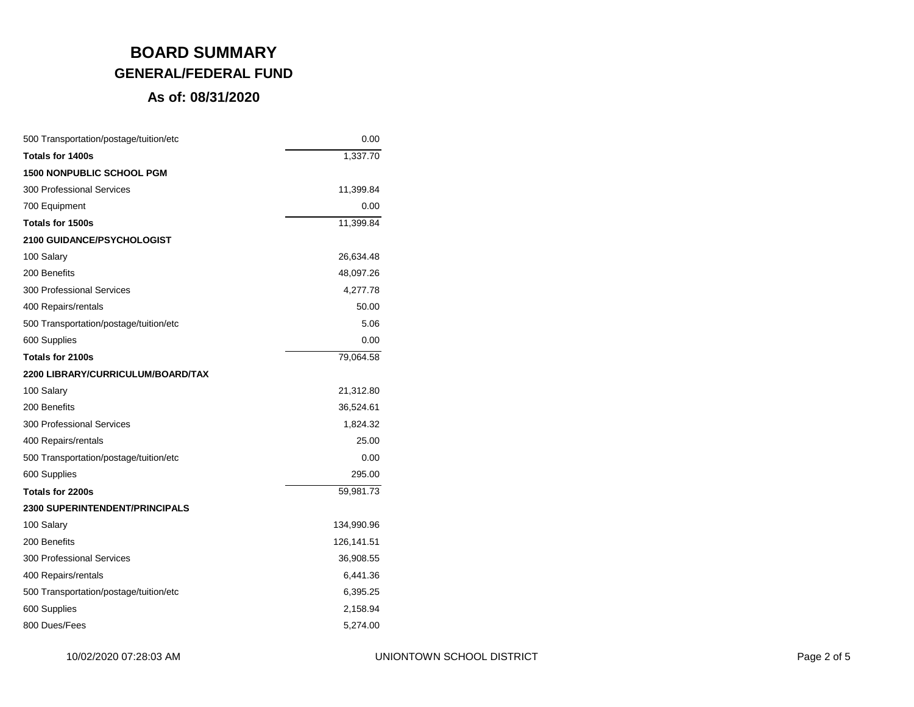# **BOARD SUMMARY GENERAL/FEDERAL FUND**

#### **As of: 08/31/2020**

| 500 Transportation/postage/tuition/etc | 0.00       |
|----------------------------------------|------------|
| <b>Totals for 1400s</b>                | 1,337.70   |
| <b>1500 NONPUBLIC SCHOOL PGM</b>       |            |
| 300 Professional Services              | 11,399.84  |
| 700 Equipment                          | 0.00       |
| <b>Totals for 1500s</b>                | 11,399.84  |
| 2100 GUIDANCE/PSYCHOLOGIST             |            |
| 100 Salary                             | 26,634.48  |
| 200 Benefits                           | 48,097.26  |
| 300 Professional Services              | 4,277.78   |
| 400 Repairs/rentals                    | 50.00      |
| 500 Transportation/postage/tuition/etc | 5.06       |
| 600 Supplies                           | 0.00       |
| Totals for 2100s                       | 79,064.58  |
| 2200 LIBRARY/CURRICULUM/BOARD/TAX      |            |
| 100 Salary                             | 21,312.80  |
| 200 Benefits                           | 36,524.61  |
| 300 Professional Services              | 1,824.32   |
| 400 Repairs/rentals                    | 25.00      |
| 500 Transportation/postage/tuition/etc | 0.00       |
| 600 Supplies                           | 295.00     |
| Totals for 2200s                       | 59,981.73  |
| <b>2300 SUPERINTENDENT/PRINCIPALS</b>  |            |
| 100 Salary                             | 134,990.96 |
| 200 Benefits                           | 126,141.51 |
| 300 Professional Services              | 36,908.55  |
| 400 Repairs/rentals                    | 6,441.36   |
| 500 Transportation/postage/tuition/etc | 6,395.25   |
| 600 Supplies                           | 2,158.94   |
| 800 Dues/Fees                          | 5,274.00   |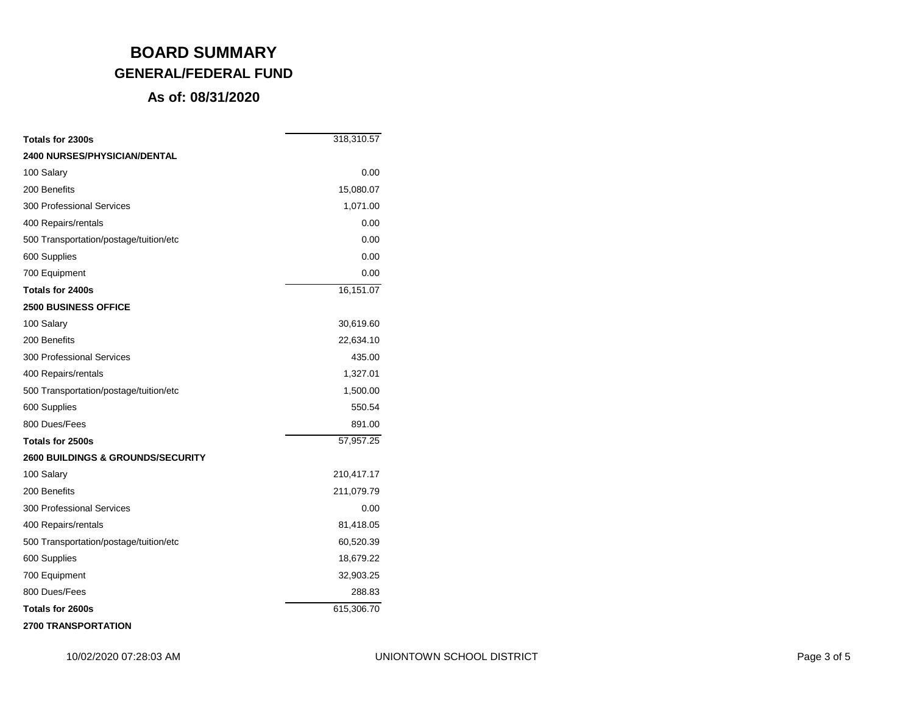## **BOARD SUMMARY GENERAL/FEDERAL FUND**

### **As of: 08/31/2020**

| Totals for 2300s                             | 318,310.57 |
|----------------------------------------------|------------|
| <b>2400 NURSES/PHYSICIAN/DENTAL</b>          |            |
| 100 Salary                                   | 0.00       |
| 200 Benefits                                 | 15,080.07  |
| <b>300 Professional Services</b>             | 1,071.00   |
| 400 Repairs/rentals                          | 0.00       |
| 500 Transportation/postage/tuition/etc       | 0.00       |
| 600 Supplies                                 | 0.00       |
| 700 Equipment                                | 0.00       |
| Totals for 2400s                             | 16,151.07  |
| <b>2500 BUSINESS OFFICE</b>                  |            |
| 100 Salary                                   | 30,619.60  |
| 200 Benefits                                 | 22,634.10  |
| <b>300 Professional Services</b>             | 435.00     |
| 400 Repairs/rentals                          | 1,327.01   |
| 500 Transportation/postage/tuition/etc       | 1,500.00   |
| 600 Supplies                                 | 550.54     |
| 800 Dues/Fees                                | 891.00     |
| Totals for 2500s                             | 57,957.25  |
| <b>2600 BUILDINGS &amp; GROUNDS/SECURITY</b> |            |
| 100 Salary                                   | 210,417.17 |
| 200 Benefits                                 | 211,079.79 |
| 300 Professional Services                    | 0.00       |
| 400 Repairs/rentals                          | 81,418.05  |
| 500 Transportation/postage/tuition/etc       | 60,520.39  |
| 600 Supplies                                 | 18,679.22  |
| 700 Equipment                                | 32,903.25  |
| 800 Dues/Fees                                | 288.83     |
| Totals for 2600s                             | 615,306.70 |
|                                              |            |

**2700 TRANSPORTATION**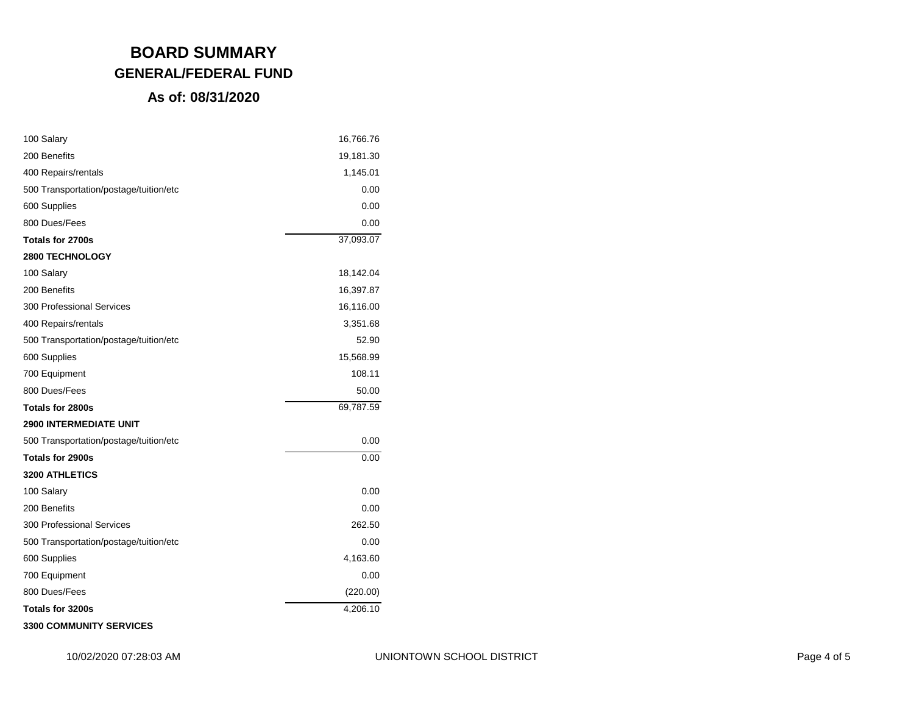## **BOARD SUMMARY GENERAL/FEDERAL FUND**

#### **As of: 08/31/2020**

| 100 Salary                             | 16,766.76 |
|----------------------------------------|-----------|
| 200 Benefits                           | 19,181.30 |
| 400 Repairs/rentals                    | 1,145.01  |
| 500 Transportation/postage/tuition/etc | 0.00      |
| 600 Supplies                           | 0.00      |
| 800 Dues/Fees                          | 0.00      |
| Totals for 2700s                       | 37,093.07 |
| 2800 TECHNOLOGY                        |           |
| 100 Salary                             | 18,142.04 |
| 200 Benefits                           | 16,397.87 |
| 300 Professional Services              | 16,116.00 |
| 400 Repairs/rentals                    | 3,351.68  |
| 500 Transportation/postage/tuition/etc | 52.90     |
| 600 Supplies                           | 15,568.99 |
| 700 Equipment                          | 108.11    |
| 800 Dues/Fees                          | 50.00     |
| Totals for 2800s                       | 69,787.59 |
| <b>2900 INTERMEDIATE UNIT</b>          |           |
| 500 Transportation/postage/tuition/etc | 0.00      |
| <b>Totals for 2900s</b>                | 0.00      |
| 3200 ATHLETICS                         |           |
| 100 Salary                             | 0.00      |
| 200 Benefits                           | 0.00      |
| 300 Professional Services              | 262.50    |
| 500 Transportation/postage/tuition/etc | 0.00      |
| 600 Supplies                           | 4,163.60  |
| 700 Equipment                          | 0.00      |
| 800 Dues/Fees                          | (220.00)  |
| Totals for 3200s                       | 4,206.10  |
| 3300 COMMUNITY SERVICES                |           |